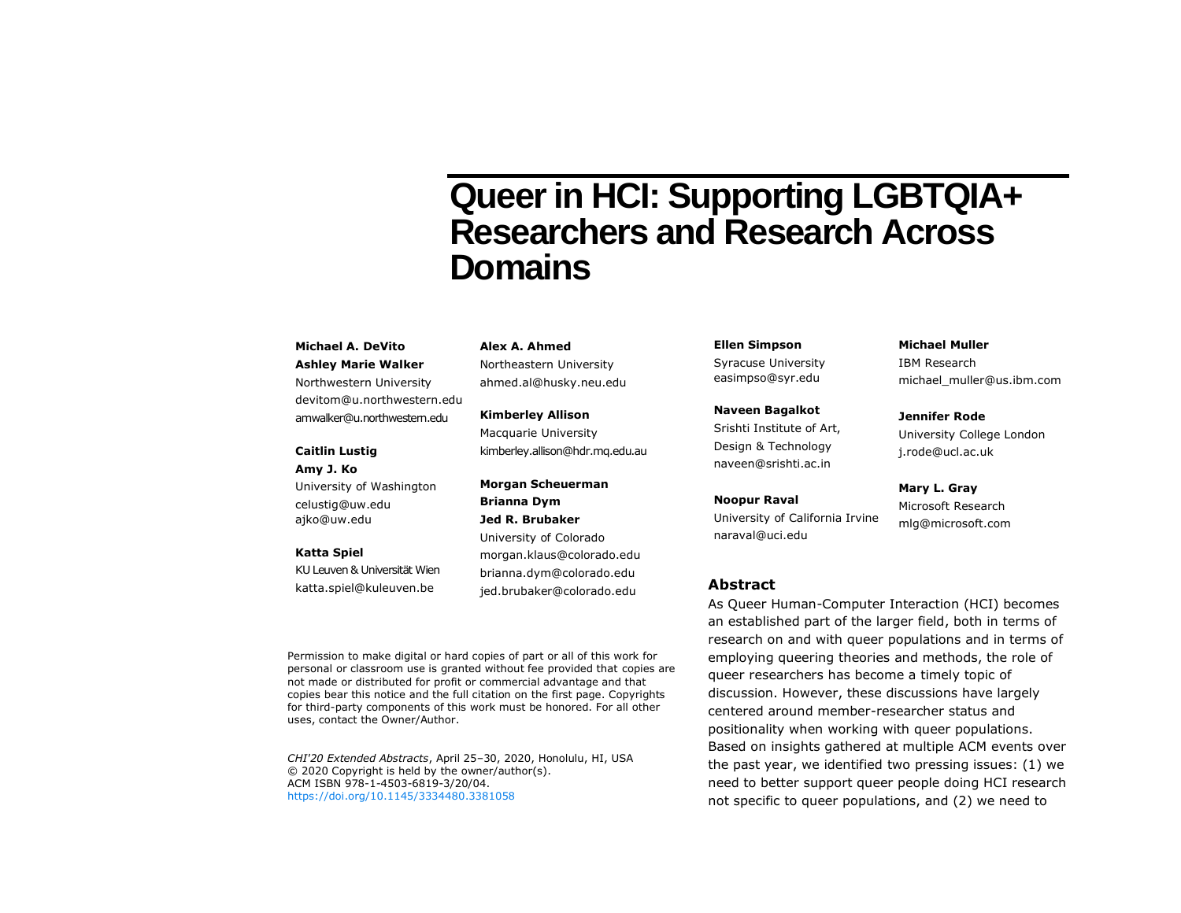# **Queer in HCI: Supporting LGBTQIA+ Researchers and Research Across Domains**

#### **Michael A. DeVito Ashley Marie Walker**

Northwestern University devitom@u.northwestern.edu amwalker@u.northwestern.edu

#### **Caitlin Lustig**

**Amy J. Ko** University of Washington celustig@uw.edu ajko@uw.edu

#### **Katta Spiel**

KU Leuven & Universität Wien katta.spiel@kuleuven.be

uses, contact the Owner/Author.

**Alex A. Ahmed**

Northeastern University ahmed.al@husky.neu.edu

**Kimberley Allison** Macquarie University kimberley.allison@hdr.mq.edu.au

**Morgan Scheuerman Brianna Dym Jed R. Brubaker** University of Colorado morgan.klaus@colorado.edu brianna.dym@colorado.edu jed.brubaker@colorado.edu

Permission to make digital or hard copies of part or all of this work for personal or classroom use is granted without fee provided that copies are not made or distributed for profit or commercial advantage and that copies bear this notice and the full citation on the first page. Copyrights for third-party components of this work must be honored. For all other

*CHI'20 Extended Abstracts*, April 25–30, 2020, Honolulu, HI, USA © 2020 Copyright is held by the owner/author(s). ACM ISBN 978-1-4503-6819-3/20/04. <https://doi.org/10.1145/3334480.3381058>

**Ellen Simpson** Syracuse University easimpso@syr.edu

**Naveen Bagalkot** Srishti Institute of Art, Design & Technology naveen@srishti.ac.in

**Noopur Raval** University of California Irvine naraval@uci.edu

# **Abstract**

As Queer Human-Computer Interaction (HCI) becomes an established part of the larger field, both in terms of research on and with queer populations and in terms of employing queering theories and methods, the role of queer researchers has become a timely topic of discussion. However, these discussions have largely centered around member-researcher status and positionality when working with queer populations. Based on insights gathered at multiple ACM events over the past year, we identified two pressing issues: (1) we need to better support queer people doing HCI research not specific to queer populations, and (2) we need to

**Michael Muller** IBM Research michael\_muller@us.ibm.com

**Jennifer Rode** University College London j.rode@ucl.ac.uk

**Mary L. Gray** Microsoft Research mlg@microsoft.com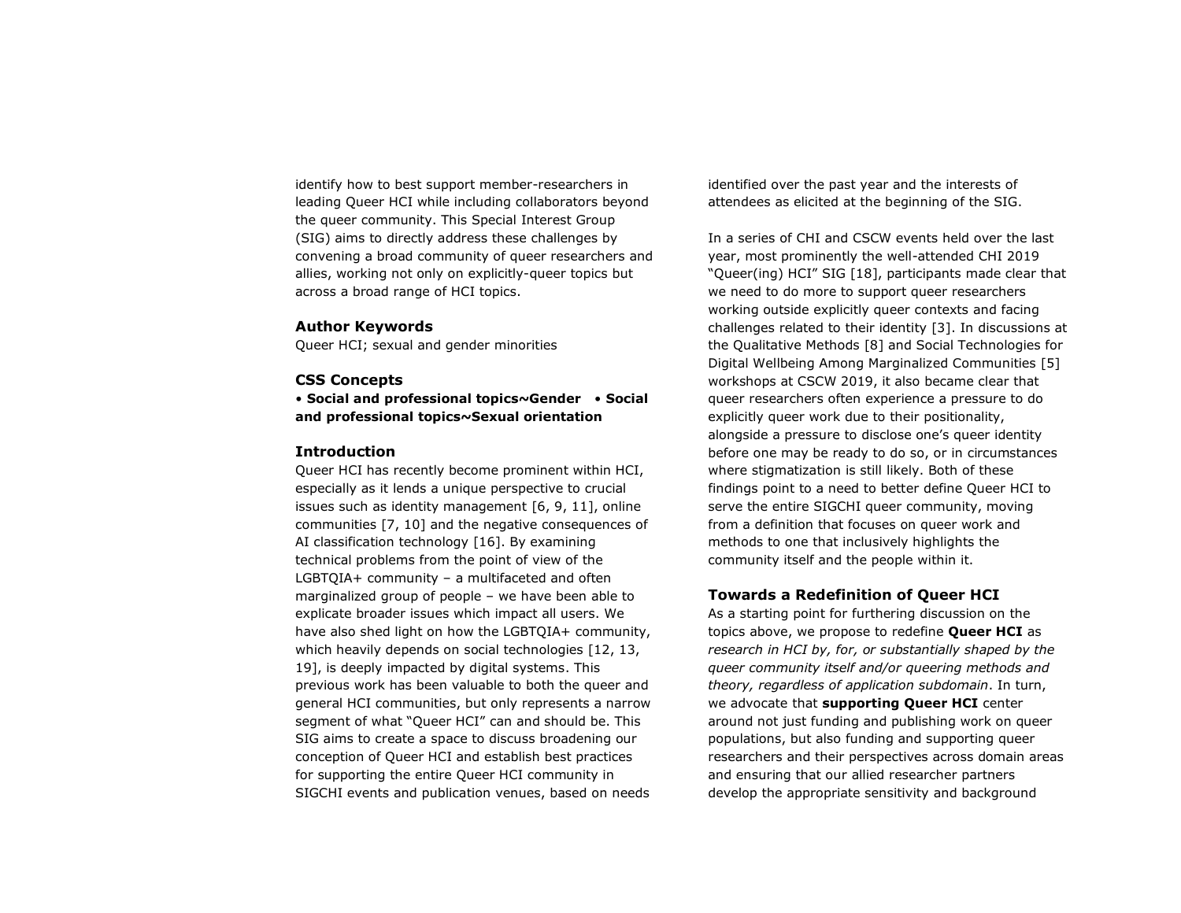identify how to best support member-researchers in leading Queer HCI while including collaborators beyond the queer community. This Special Interest Group (SIG) aims to directly address these challenges by convening a broad community of queer researchers and allies, working not only on explicitly-queer topics but across a broad range of HCI topics.

### **Author Keywords**

Queer HCI; sexual and gender minorities

## **CSS Concepts**

• **Social and professional topics~Gender** • **Social and professional topics~Sexual orientation**

#### **Introduction**

Queer HCI has recently become prominent within HCI, especially as it lends a unique perspective to crucial issues such as identity management [6, 9, 11], online communities [7, 10] and the negative consequences of AI classification technology [16]. By examining technical problems from the point of view of the LGBTQIA+ community – a multifaceted and often marginalized group of people – we have been able to explicate broader issues which impact all users. We have also shed light on how the LGBTQIA+ community, which heavily depends on social technologies [12, 13, 19], is deeply impacted by digital systems. This previous work has been valuable to both the queer and general HCI communities, but only represents a narrow segment of what "Queer HCI" can and should be. This SIG aims to create a space to discuss broadening our conception of Queer HCI and establish best practices for supporting the entire Queer HCI community in SIGCHI events and publication venues, based on needs

identified over the past year and the interests of attendees as elicited at the beginning of the SIG.

In a series of CHI and CSCW events held over the last year, most prominently the well-attended CHI 2019 "Queer(ing) HCI" SIG [18], participants made clear that we need to do more to support queer researchers working outside explicitly queer contexts and facing challenges related to their identity [3]. In discussions at the Qualitative Methods [8] and Social Technologies for Digital Wellbeing Among Marginalized Communities [5] workshops at CSCW 2019, it also became clear that queer researchers often experience a pressure to do explicitly queer work due to their positionality, alongside a pressure to disclose one's queer identity before one may be ready to do so, or in circumstances where stigmatization is still likely. Both of these findings point to a need to better define Queer HCI to serve the entire SIGCHI queer community, moving from a definition that focuses on queer work and methods to one that inclusively highlights the community itself and the people within it.

## **Towards a Redefinition of Queer HCI**

As a starting point for furthering discussion on the topics above, we propose to redefine **Queer HCI** as *research in HCI by, for, or substantially shaped by the queer community itself and/or queering methods and theory, regardless of application subdomain*. In turn, we advocate that **supporting Queer HCI** center around not just funding and publishing work on queer populations, but also funding and supporting queer researchers and their perspectives across domain areas and ensuring that our allied researcher partners develop the appropriate sensitivity and background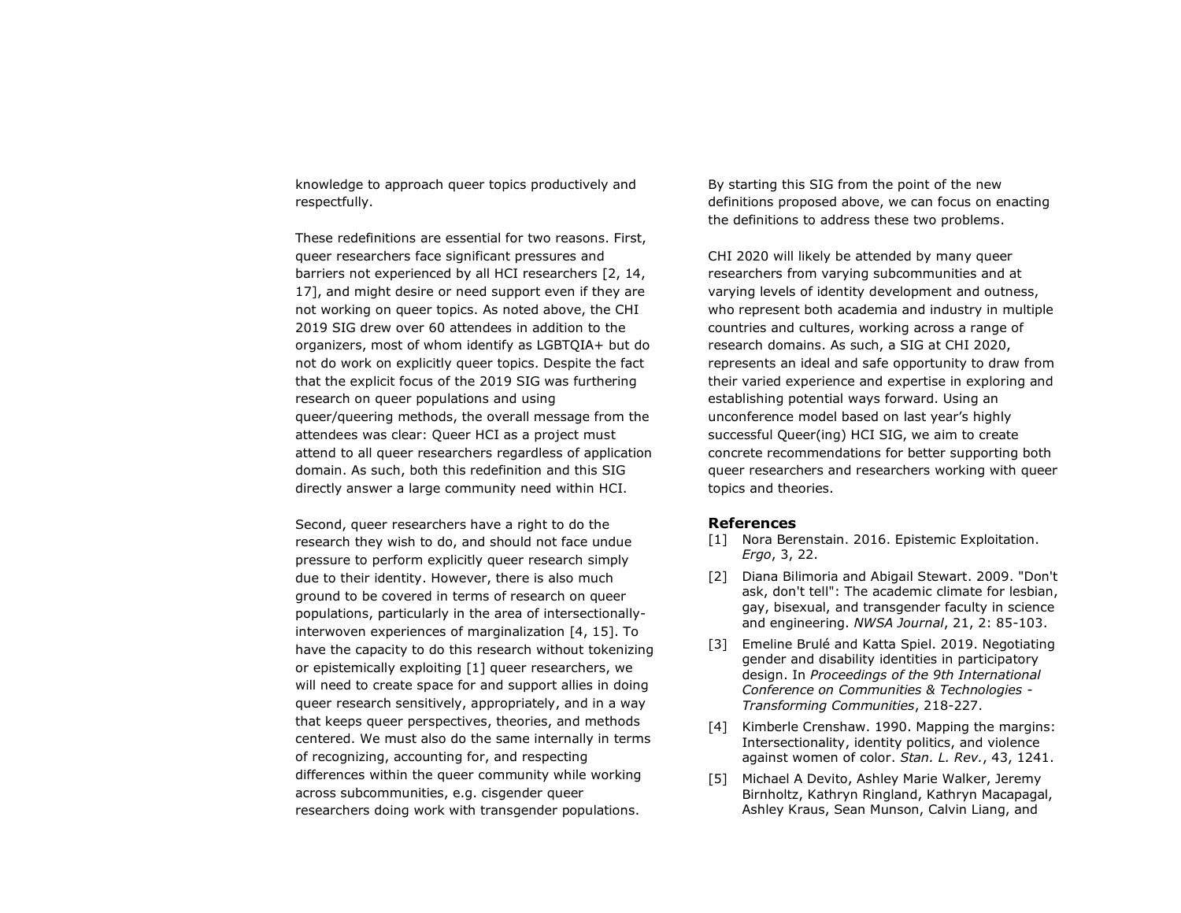knowledge to approach queer topics productively and respectfully.

These redefinitions are essential for two reasons. First, queer researchers face significant pressures and barriers not experienced by all HCI researchers [2, 14, 17], and might desire or need support even if they are not working on queer topics. As noted above, the CHI 2019 SIG drew over 60 attendees in addition to the organizers, most of whom identify as LGBTQIA+ but do not do work on explicitly queer topics. Despite the fact that the explicit focus of the 2019 SIG was furthering research on queer populations and using queer/queering methods, the overall message from the attendees was clear: Queer HCI as a project must attend to all queer researchers regardless of application domain. As such, both this redefinition and this SIG directly answer a large community need within HCI.

Second, queer researchers have a right to do the research they wish to do, and should not face undue pressure to perform explicitly queer research simply due to their identity. However, there is also much ground to be covered in terms of research on queer populations, particularly in the area of intersectionallyinterwoven experiences of marginalization [4, 15]. To have the capacity to do this research without tokenizing or epistemically exploiting [1] queer researchers, we will need to create space for and support allies in doing queer research sensitively, appropriately, and in a way that keeps queer perspectives, theories, and methods centered. We must also do the same internally in terms of recognizing, accounting for, and respecting differences within the queer community while working across subcommunities, e.g. cisgender queer researchers doing work with transgender populations.

By starting this SIG from the point of the new definitions proposed above, we can focus on enacting the definitions to address these two problems.

CHI 2020 will likely be attended by many queer researchers from varying subcommunities and at varying levels of identity development and outness, who represent both academia and industry in multiple countries and cultures, working across a range of research domains. As such, a SIG at CHI 2020, represents an ideal and safe opportunity to draw from their varied experience and expertise in exploring and establishing potential ways forward. Using an unconference model based on last year's highly successful Queer(ing) HCI SIG, we aim to create concrete recommendations for better supporting both queer researchers and researchers working with queer topics and theories.

#### **References**

- [1] Nora Berenstain. 2016. Epistemic Exploitation. *Ergo*, 3, 22.
- [2] Diana Bilimoria and Abigail Stewart. 2009. "Don't ask, don't tell": The academic climate for lesbian, gay, bisexual, and transgender faculty in science and engineering. *NWSA Journal*, 21, 2: 85-103.
- [3] Emeline Brulé and Katta Spiel. 2019. Negotiating gender and disability identities in participatory design. In *Proceedings of the 9th International Conference on Communities & Technologies - Transforming Communities*, 218-227.
- [4] Kimberle Crenshaw. 1990. Mapping the margins: Intersectionality, identity politics, and violence against women of color. *Stan. L. Rev.*, 43, 1241.
- [5] Michael A Devito, Ashley Marie Walker, Jeremy Birnholtz, Kathryn Ringland, Kathryn Macapagal, Ashley Kraus, Sean Munson, Calvin Liang, and